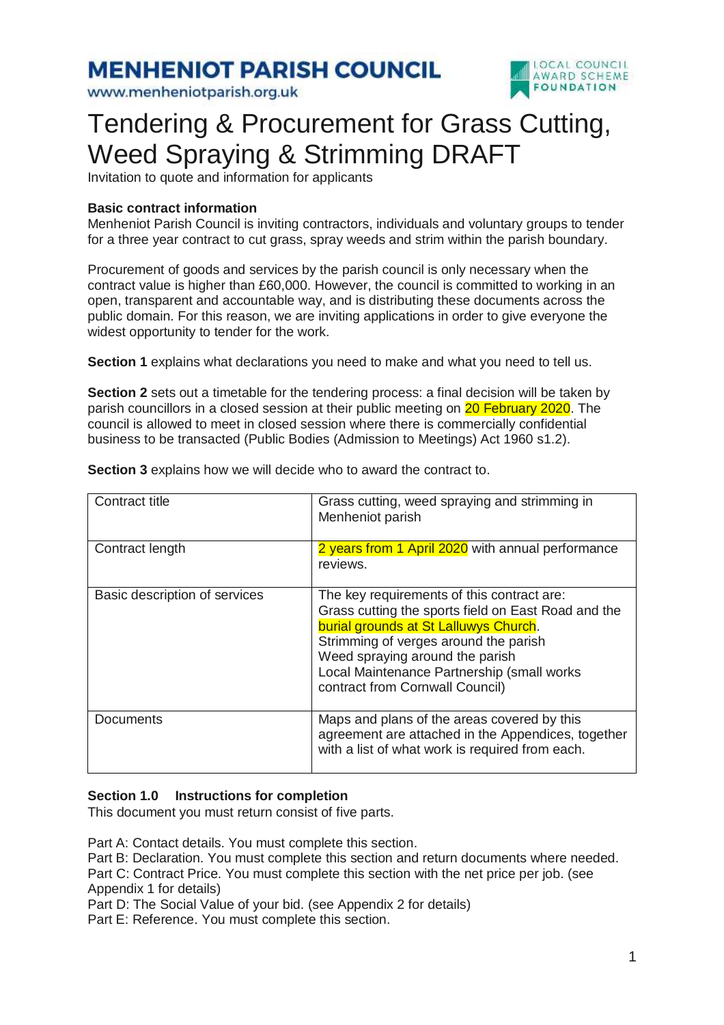www.menheniotparish.org.uk



## Tendering & Procurement for Grass Cutting, Weed Spraying & Strimming DRAFT

Invitation to quote and information for applicants

### **Basic contract information**

Menheniot Parish Council is inviting contractors, individuals and voluntary groups to tender for a three year contract to cut grass, spray weeds and strim within the parish boundary.

Procurement of goods and services by the parish council is only necessary when the contract value is higher than £60,000. However, the council is committed to working in an open, transparent and accountable way, and is distributing these documents across the public domain. For this reason, we are inviting applications in order to give everyone the widest opportunity to tender for the work.

**Section 1** explains what declarations you need to make and what you need to tell us.

**Section 2** sets out a timetable for the tendering process: a final decision will be taken by parish councillors in a closed session at their public meeting on 20 February 2020. The council is allowed to meet in closed session where there is commercially confidential business to be transacted (Public Bodies (Admission to Meetings) Act 1960 s1.2).

| Contract title                | Grass cutting, weed spraying and strimming in<br>Menheniot parish                                                                                                                                                                                                                                       |
|-------------------------------|---------------------------------------------------------------------------------------------------------------------------------------------------------------------------------------------------------------------------------------------------------------------------------------------------------|
| Contract length               | 2 years from 1 April 2020 with annual performance<br>reviews.                                                                                                                                                                                                                                           |
| Basic description of services | The key requirements of this contract are:<br>Grass cutting the sports field on East Road and the<br>burial grounds at St Lalluwys Church.<br>Strimming of verges around the parish<br>Weed spraying around the parish<br>Local Maintenance Partnership (small works<br>contract from Cornwall Council) |
| <b>Documents</b>              | Maps and plans of the areas covered by this<br>agreement are attached in the Appendices, together<br>with a list of what work is required from each.                                                                                                                                                    |

**Section 3** explains how we will decide who to award the contract to.

### **Section 1.0 Instructions for completion**

This document you must return consist of five parts.

Part A: Contact details. You must complete this section. Part B: Declaration. You must complete this section and return documents where needed. Part C: Contract Price. You must complete this section with the net price per job. (see Appendix 1 for details)

Part D: The Social Value of your bid. (see Appendix 2 for details)

Part E: Reference. You must complete this section.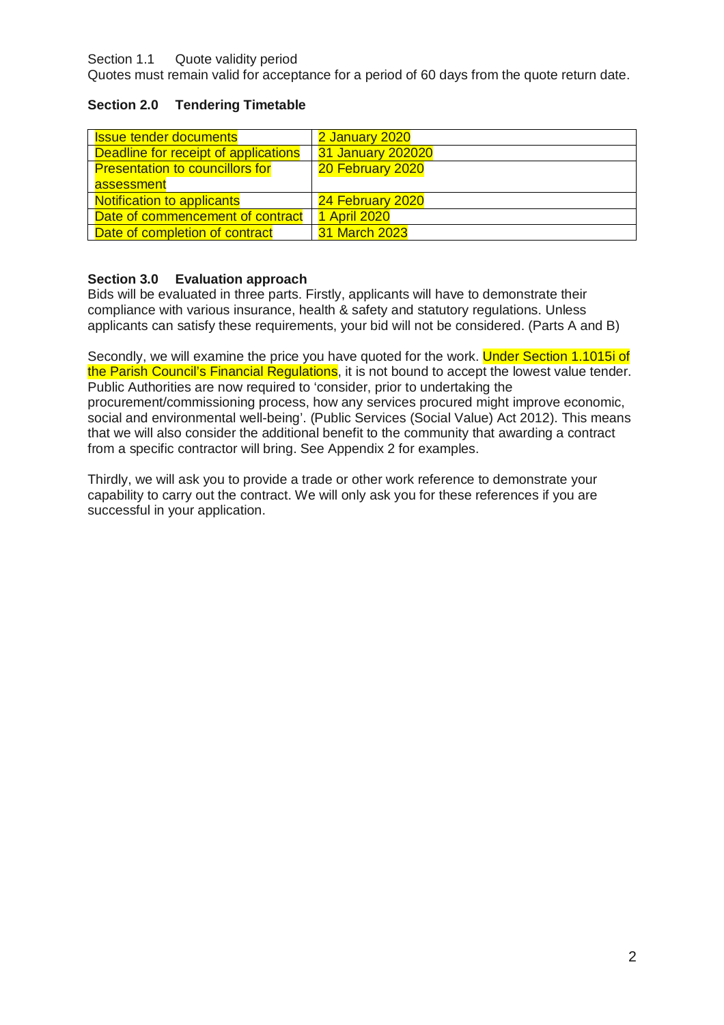#### Section 1.1 Quote validity period

Quotes must remain valid for acceptance for a period of 60 days from the quote return date.

### **Section 2.0 Tendering Timetable**

| <b>Issue tender documents</b>          | 2 January 2020       |
|----------------------------------------|----------------------|
| Deadline for receipt of applications   | 31 January 202020    |
| <b>Presentation to councillors for</b> | 20 February 2020     |
| assessment                             |                      |
| <b>Notification to applicants</b>      | 24 February 2020     |
| Date of commencement of contract       | <b>1 April 2020</b>  |
| Date of completion of contract         | <b>31 March 2023</b> |

### **Section 3.0 Evaluation approach**

Bids will be evaluated in three parts. Firstly, applicants will have to demonstrate their compliance with various insurance, health & safety and statutory regulations. Unless applicants can satisfy these requirements, your bid will not be considered. (Parts A and B)

Secondly, we will examine the price you have quoted for the work. Under Section 1.1015i of the Parish Council's Financial Regulations, it is not bound to accept the lowest value tender. Public Authorities are now required to 'consider, prior to undertaking the procurement/commissioning process, how any services procured might improve economic, social and environmental well-being'. (Public Services (Social Value) Act 2012). This means that we will also consider the additional benefit to the community that awarding a contract from a specific contractor will bring. See Appendix 2 for examples.

Thirdly, we will ask you to provide a trade or other work reference to demonstrate your capability to carry out the contract. We will only ask you for these references if you are successful in your application.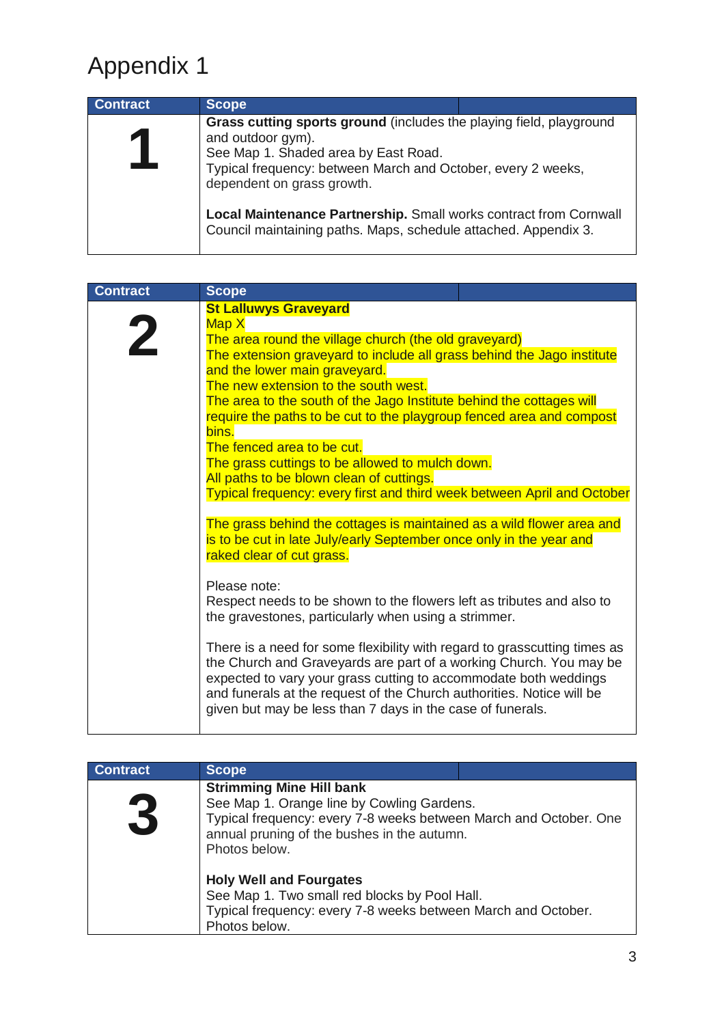# Appendix 1

| <b>Contract</b> | <b>Scope</b>                                                                                                                                                                                                                   |  |
|-----------------|--------------------------------------------------------------------------------------------------------------------------------------------------------------------------------------------------------------------------------|--|
|                 | Grass cutting sports ground (includes the playing field, playground<br>and outdoor gym).<br>See Map 1. Shaded area by East Road.<br>Typical frequency: between March and October, every 2 weeks,<br>dependent on grass growth. |  |
|                 | <b>Local Maintenance Partnership.</b> Small works contract from Cornwall<br>Council maintaining paths. Maps, schedule attached. Appendix 3.                                                                                    |  |

| <b>Contract</b> | <b>Scope</b>                                                                                                                                                                                                                                                                                                                                               |
|-----------------|------------------------------------------------------------------------------------------------------------------------------------------------------------------------------------------------------------------------------------------------------------------------------------------------------------------------------------------------------------|
|                 | <b>St Lalluwys Graveyard</b>                                                                                                                                                                                                                                                                                                                               |
|                 | Map X                                                                                                                                                                                                                                                                                                                                                      |
|                 | The area round the village church (the old graveyard)                                                                                                                                                                                                                                                                                                      |
|                 | The extension graveyard to include all grass behind the Jago institute                                                                                                                                                                                                                                                                                     |
|                 | and the lower main graveyard.<br>The new extension to the south west.                                                                                                                                                                                                                                                                                      |
|                 | The area to the south of the Jago Institute behind the cottages will                                                                                                                                                                                                                                                                                       |
|                 | require the paths to be cut to the playgroup fenced area and compost                                                                                                                                                                                                                                                                                       |
|                 | bins.                                                                                                                                                                                                                                                                                                                                                      |
|                 | The fenced area to be cut.                                                                                                                                                                                                                                                                                                                                 |
|                 | The grass cuttings to be allowed to mulch down.                                                                                                                                                                                                                                                                                                            |
|                 | All paths to be blown clean of cuttings.                                                                                                                                                                                                                                                                                                                   |
|                 | Typical frequency: every first and third week between April and October                                                                                                                                                                                                                                                                                    |
|                 | The grass behind the cottages is maintained as a wild flower area and<br>is to be cut in late July/early September once only in the year and<br>raked clear of cut grass.                                                                                                                                                                                  |
|                 | Please note:<br>Respect needs to be shown to the flowers left as tributes and also to<br>the gravestones, particularly when using a strimmer.                                                                                                                                                                                                              |
|                 | There is a need for some flexibility with regard to grasscutting times as<br>the Church and Graveyards are part of a working Church. You may be<br>expected to vary your grass cutting to accommodate both weddings<br>and funerals at the request of the Church authorities. Notice will be<br>given but may be less than 7 days in the case of funerals. |

| <b>Contract</b> | <b>Scope</b>                                                                                                                                                                                                       |  |
|-----------------|--------------------------------------------------------------------------------------------------------------------------------------------------------------------------------------------------------------------|--|
|                 | <b>Strimming Mine Hill bank</b><br>See Map 1. Orange line by Cowling Gardens.<br>Typical frequency: every 7-8 weeks between March and October. One<br>annual pruning of the bushes in the autumn.<br>Photos below. |  |
|                 | <b>Holy Well and Fourgates</b><br>See Map 1. Two small red blocks by Pool Hall.<br>Typical frequency: every 7-8 weeks between March and October.<br>Photos below.                                                  |  |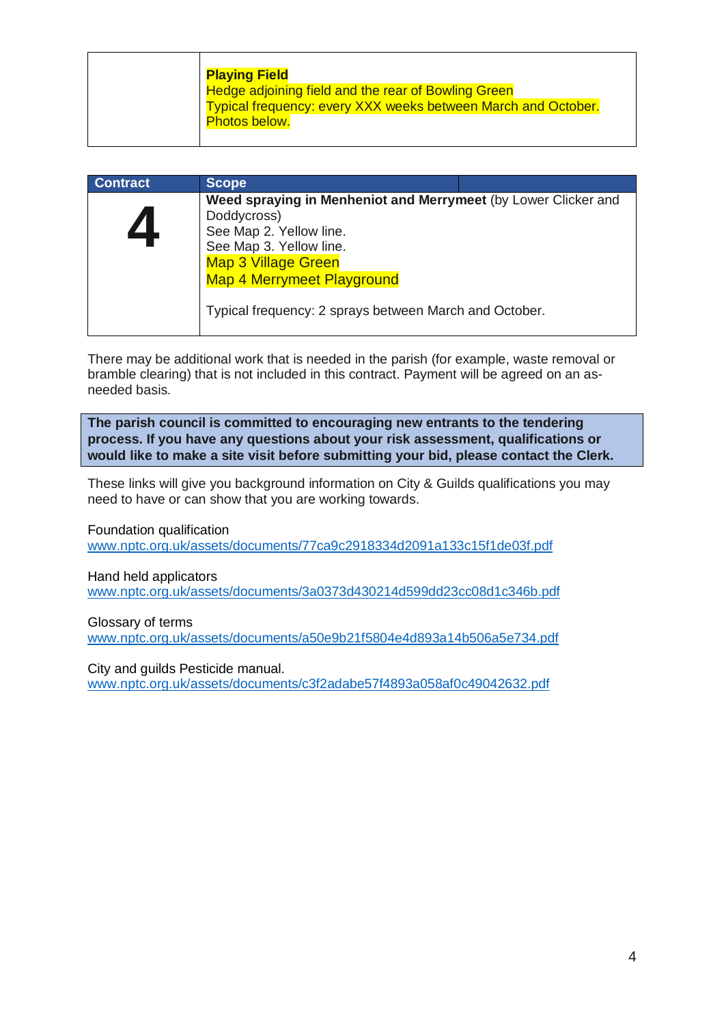| <b>Playing Field</b>                                          |
|---------------------------------------------------------------|
| Hedge adjoining field and the rear of Bowling Green           |
| Typical frequency: every XXX weeks between March and October. |
| <b>Photos below.</b>                                          |
|                                                               |

| <b>Contract</b> | <b>Scope</b>                                                                                                                                                                                                                                                     |
|-----------------|------------------------------------------------------------------------------------------------------------------------------------------------------------------------------------------------------------------------------------------------------------------|
|                 | Weed spraying in Menheniot and Merrymeet (by Lower Clicker and<br>Doddycross)<br>See Map 2. Yellow line.<br>See Map 3. Yellow line.<br><b>Map 3 Village Green</b><br><b>Map 4 Merrymeet Playground</b><br>Typical frequency: 2 sprays between March and October. |

There may be additional work that is needed in the parish (for example, waste removal or bramble clearing) that is not included in this contract. Payment will be agreed on an asneeded basis.

**The parish council is committed to encouraging new entrants to the tendering process. If you have any questions about your risk assessment, qualifications or would like to make a site visit before submitting your bid, please contact the Clerk.** 

These links will give you background information on City & Guilds qualifications you may need to have or can show that you are working towards.

Foundation qualification

www.nptc.org.uk/assets/documents/77ca9c2918334d2091a133c15f1de03f.pdf

Hand held applicators

www.nptc.org.uk/assets/documents/3a0373d430214d599dd23cc08d1c346b.pdf

Glossary of terms

www.nptc.org.uk/assets/documents/a50e9b21f5804e4d893a14b506a5e734.pdf

City and guilds Pesticide manual. www.nptc.org.uk/assets/documents/c3f2adabe57f4893a058af0c49042632.pdf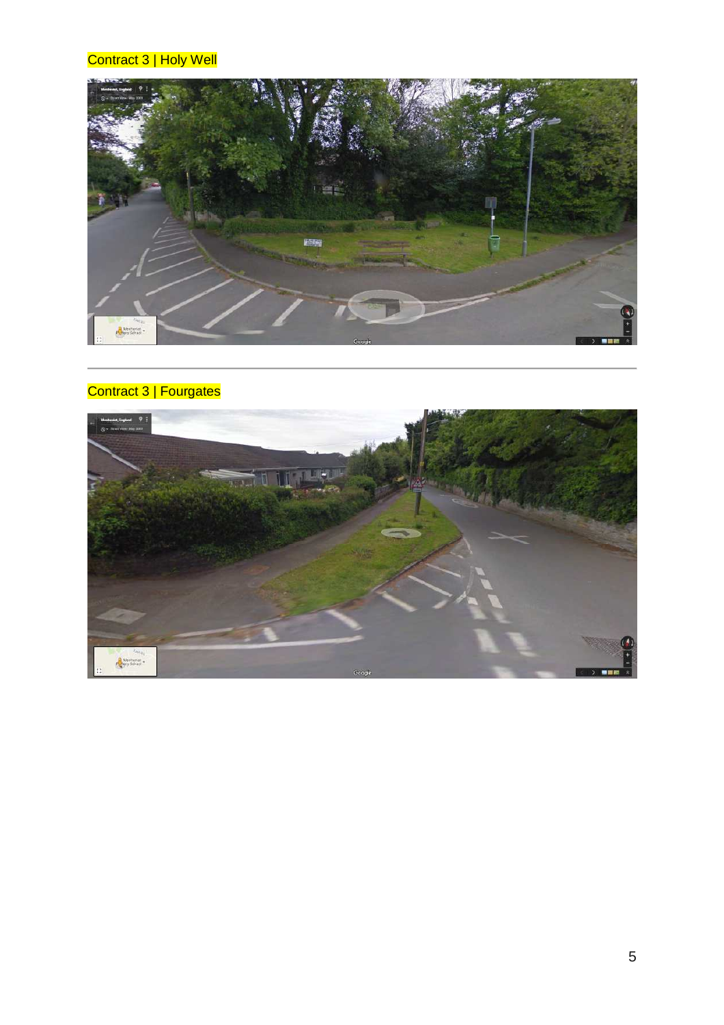### Contract 3 | Holy Well



## Contract 3 | Fourgates

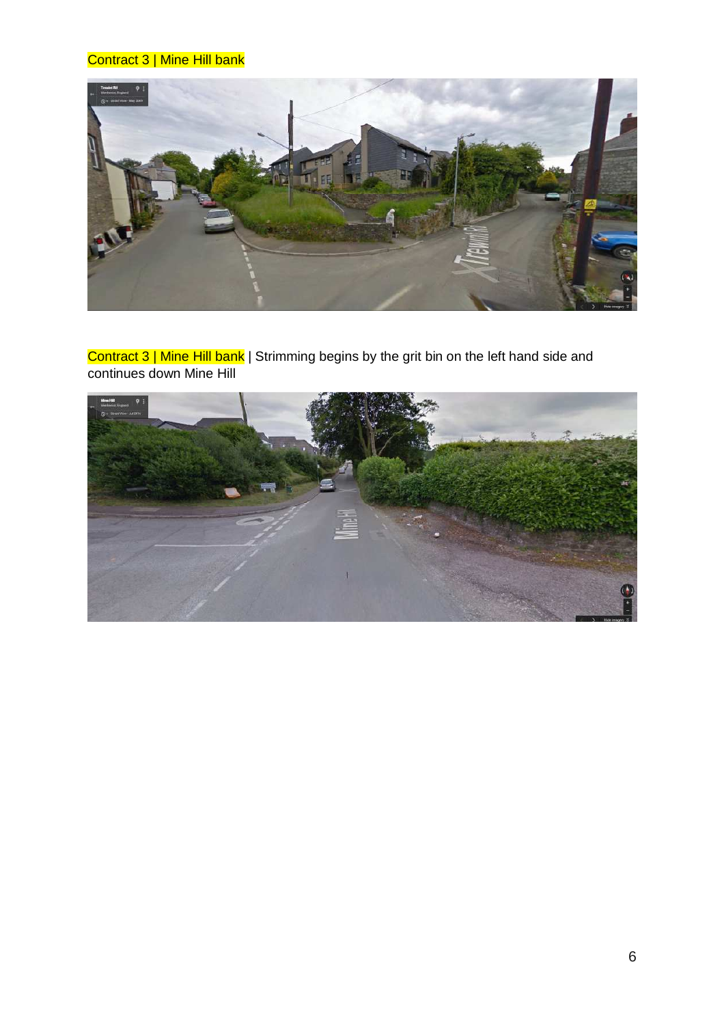### Contract 3 | Mine Hill bank



Contract 3 | Mine Hill bank | Strimming begins by the grit bin on the left hand side and continues down Mine Hill